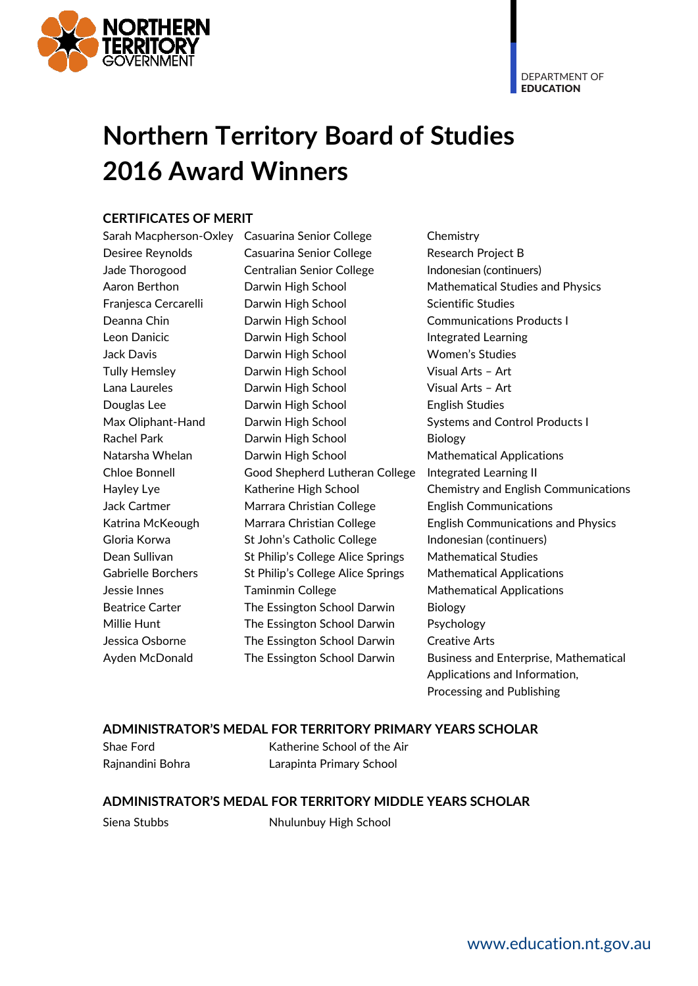

DEPARTMENT OF **EDUCATION** 

# **Northern Territory Board of Studies 2016 Award Winners**

## **CERTIFICATES OF MERIT**

Sarah Macpherson-Oxley Casuarina Senior College Chemistry Desiree Reynolds Casuarina Senior College Research Project B Jade Thorogood Centralian Senior College Indonesian (continuers) Franjesca Cercarelli Darwin High School Scientific Studies Deanna Chin Darwin High School Communications Products I Leon Danicic **Darwin High School** Integrated Learning Jack Davis Darwin High School Women's Studies Tully Hemsley **Darwin High School** Visual Arts - Art Lana Laureles Darwin High School Visual Arts – Art Douglas Lee Darwin High School English Studies Max Oliphant-Hand Darwin High School Systems and Control Products I Rachel Park **Darwin High School** Biology Natarsha Whelan **Darwin High School** Mathematical Applications Chloe Bonnell Good Shepherd Lutheran College Integrated Learning II Jack Cartmer Marrara Christian College English Communications Gloria Korwa **St John's Catholic College** Indonesian (continuers) Dean Sullivan St Philip's College Alice Springs Mathematical Studies Gabrielle Borchers St Philip's College Alice Springs Mathematical Applications Jessie Innes Taminmin College Mathematical Applications Beatrice Carter The Essington School Darwin Biology Millie Hunt The Essington School Darwin Psychology Jessica Osborne The Essington School Darwin Creative Arts

Aaron Berthon **Darwin High School** Mathematical Studies and Physics Hayley Lye Katherine High School Chemistry and English Communications Katrina McKeough Marrara Christian College English Communications and Physics Ayden McDonald The Essington School Darwin Business and Enterprise, Mathematical Applications and Information, Processing and Publishing

#### **ADMINISTRATOR'S MEDAL FOR TERRITORY PRIMARY YEARS SCHOLAR**

Shae Ford Katherine School of the Air Rajnandini Bohra Larapinta Primary School

#### **ADMINISTRATOR'S MEDAL FOR TERRITORY MIDDLE YEARS SCHOLAR**

Siena Stubbs Nhulunbuy High School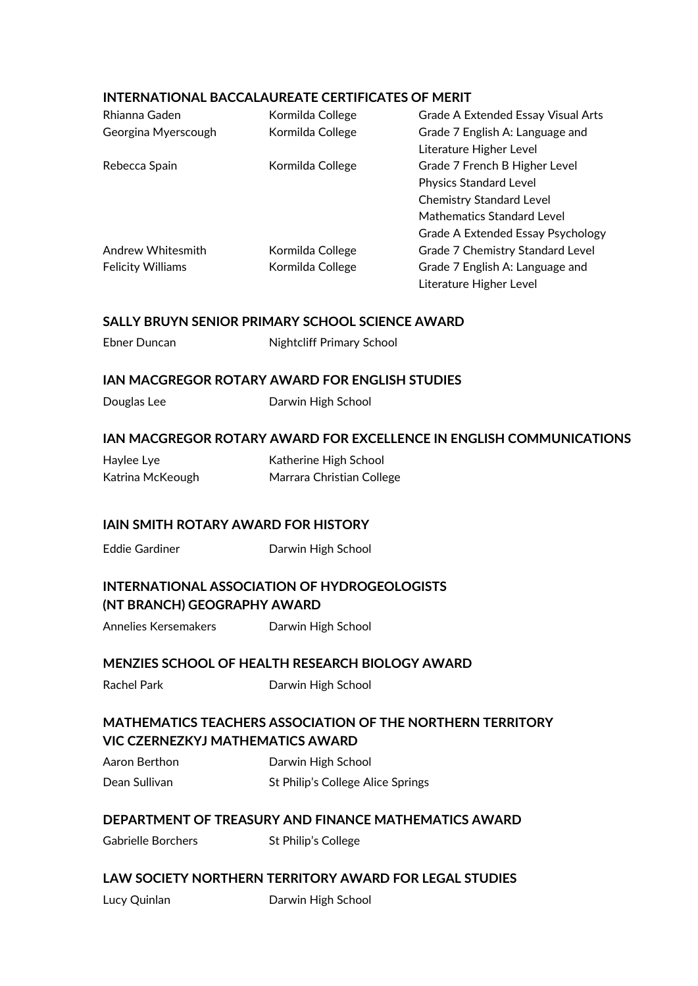#### **INTERNATIONAL BACCALAUREATE CERTIFICATES OF MERIT**

| Rhianna Gaden            | Kormilda College | Grade A Extended Essay Visual Arts |
|--------------------------|------------------|------------------------------------|
| Georgina Myerscough      | Kormilda College | Grade 7 English A: Language and    |
|                          |                  | Literature Higher Level            |
| Rebecca Spain            | Kormilda College | Grade 7 French B Higher Level      |
|                          |                  | <b>Physics Standard Level</b>      |
|                          |                  | <b>Chemistry Standard Level</b>    |
|                          |                  | Mathematics Standard Level         |
|                          |                  | Grade A Extended Essay Psychology  |
| Andrew Whitesmith        | Kormilda College | Grade 7 Chemistry Standard Level   |
| <b>Felicity Williams</b> | Kormilda College | Grade 7 English A: Language and    |
|                          |                  | Literature Higher Level            |

#### **SALLY BRUYN SENIOR PRIMARY SCHOOL SCIENCE AWARD**

| Ebner Duncan | <b>Nightcliff Primary School</b> |
|--------------|----------------------------------|
|--------------|----------------------------------|

#### **IAN MACGREGOR ROTARY AWARD FOR ENGLISH STUDIES**

Douglas Lee **Darwin High School** 

#### **IAN MACGREGOR ROTARY AWARD FOR EXCELLENCE IN ENGLISH COMMUNICATIONS**

| Haylee Lye       | Katherine High School     |
|------------------|---------------------------|
| Katrina McKeough | Marrara Christian College |

#### **IAIN SMITH ROTARY AWARD FOR HISTORY**

Eddie Gardiner Darwin High School

# **INTERNATIONAL ASSOCIATION OF HYDROGEOLOGISTS (NT BRANCH) GEOGRAPHY AWARD**

Annelies Kersemakers Darwin High School

#### **MENZIES SCHOOL OF HEALTH RESEARCH BIOLOGY AWARD**

Rachel Park Darwin High School

# **MATHEMATICS TEACHERS ASSOCIATION OF THE NORTHERN TERRITORY VIC CZERNEZKYJ MATHEMATICS AWARD**

Aaron Berthon **Darwin High School** Dean Sullivan St Philip's College Alice Springs

# **DEPARTMENT OF TREASURY AND FINANCE MATHEMATICS AWARD**

Gabrielle Borchers St Philip's College

# **LAW SOCIETY NORTHERN TERRITORY AWARD FOR LEGAL STUDIES**

Lucy Quinlan **Darwin High School**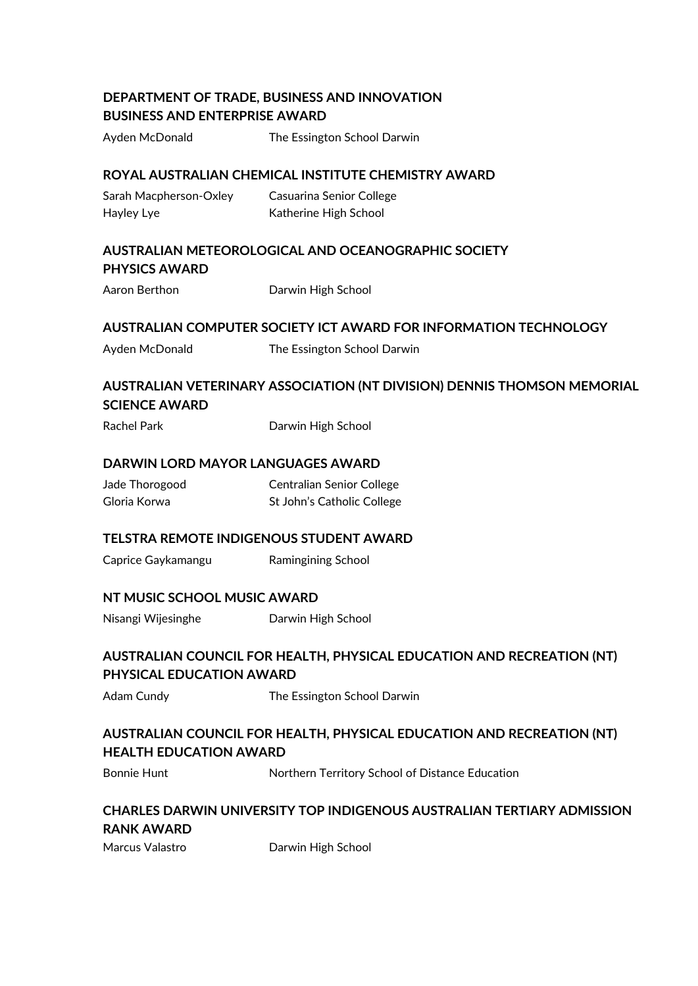# **DEPARTMENT OF TRADE, BUSINESS AND INNOVATION BUSINESS AND ENTERPRISE AWARD**

Ayden McDonald The Essington School Darwin

#### **ROYAL AUSTRALIAN CHEMICAL INSTITUTE CHEMISTRY AWARD**

Sarah Macpherson-Oxley Casuarina Senior College Hayley Lye **Katherine High School** 

# **AUSTRALIAN METEOROLOGICAL AND OCEANOGRAPHIC SOCIETY PHYSICS AWARD**

Aaron Berthon Darwin High School

#### **AUSTRALIAN COMPUTER SOCIETY ICT AWARD FOR INFORMATION TECHNOLOGY**

Ayden McDonald The Essington School Darwin

# **AUSTRALIAN VETERINARY ASSOCIATION (NT DIVISION) DENNIS THOMSON MEMORIAL SCIENCE AWARD**

Rachel Park Darwin High School

#### **DARWIN LORD MAYOR LANGUAGES AWARD**

Jade Thorogood Centralian Senior College Gloria Korwa St John's Catholic College

#### **TELSTRA REMOTE INDIGENOUS STUDENT AWARD**

Caprice Gaykamangu Ramingining School

#### **NT MUSIC SCHOOL MUSIC AWARD**

Nisangi Wijesinghe Darwin High School

# **AUSTRALIAN COUNCIL FOR HEALTH, PHYSICAL EDUCATION AND RECREATION (NT) PHYSICAL EDUCATION AWARD**

Adam Cundy **The Essington School Darwin** 

# **AUSTRALIAN COUNCIL FOR HEALTH, PHYSICAL EDUCATION AND RECREATION (NT) HEALTH EDUCATION AWARD**

Bonnie Hunt Northern Territory School of Distance Education

# **CHARLES DARWIN UNIVERSITY TOP INDIGENOUS AUSTRALIAN TERTIARY ADMISSION RANK AWARD**

Marcus Valastro **Darwin High School**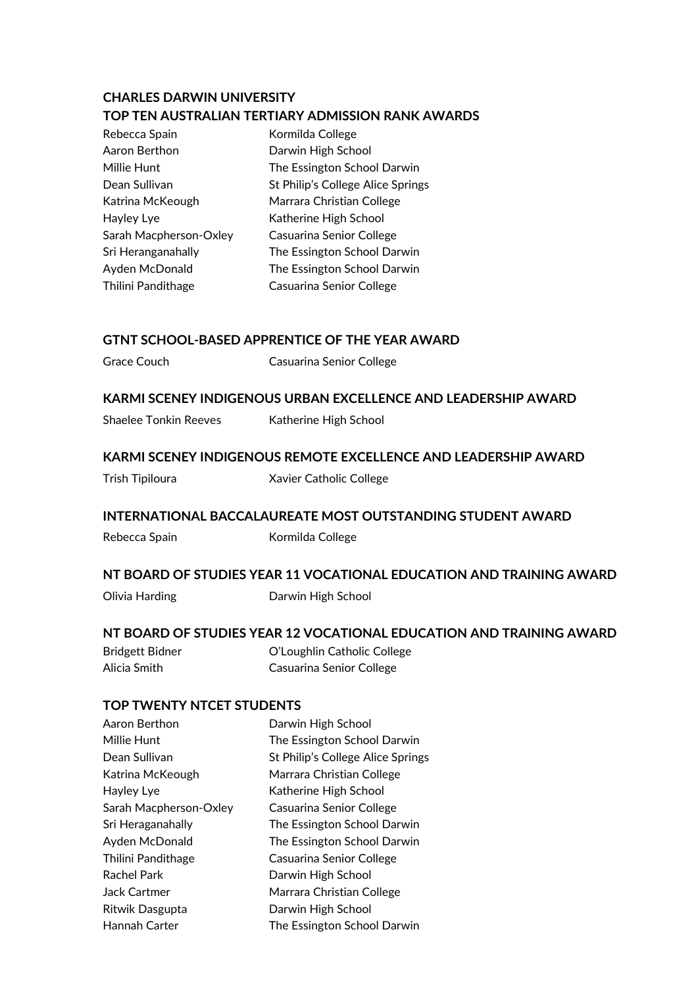# **CHARLES DARWIN UNIVERSITY TOP TEN AUSTRALIAN TERTIARY ADMISSION RANK AWARDS**

| Rebecca Spain          | Kormilda College                  |
|------------------------|-----------------------------------|
| Aaron Berthon          | Darwin High School                |
| Millie Hunt            | The Essington School Darwin       |
| Dean Sullivan          | St Philip's College Alice Springs |
| Katrina McKeough       | Marrara Christian College         |
| Hayley Lye             | Katherine High School             |
| Sarah Macpherson-Oxley | <b>Casuarina Senior College</b>   |
| Sri Heranganahally     | The Essington School Darwin       |
| Ayden McDonald         | The Essington School Darwin       |
| Thilini Pandithage     | Casuarina Senior College          |

# **GTNT SCHOOL-BASED APPRENTICE OF THE YEAR AWARD**

Grace Couch Casuarina Senior College

#### **KARMI SCENEY INDIGENOUS URBAN EXCELLENCE AND LEADERSHIP AWARD**

Shaelee Tonkin Reeves Katherine High School

#### **KARMI SCENEY INDIGENOUS REMOTE EXCELLENCE AND LEADERSHIP AWARD**

| Trish Tipiloura | Xavier Catholic College |
|-----------------|-------------------------|
|-----------------|-------------------------|

#### **INTERNATIONAL BACCALAUREATE MOST OUTSTANDING STUDENT AWARD**

Rebecca Spain Kormilda College

#### **NT BOARD OF STUDIES YEAR 11 VOCATIONAL EDUCATION AND TRAINING AWARD**

Olivia Harding **Darwin High School** 

#### **NT BOARD OF STUDIES YEAR 12 VOCATIONAL EDUCATION AND TRAINING AWARD**

Bridgett Bidner O'Loughlin Catholic College Alicia Smith Casuarina Senior College

#### **TOP TWENTY NTCET STUDENTS**

| Aaron Berthon          | Darwin High School                |
|------------------------|-----------------------------------|
| Millie Hunt            | The Essington School Darwin       |
| Dean Sullivan          | St Philip's College Alice Springs |
| Katrina McKeough       | Marrara Christian College         |
| Hayley Lye             | Katherine High School             |
| Sarah Macpherson-Oxley | Casuarina Senior College          |
| Sri Heraganahally      | The Essington School Darwin       |
| Ayden McDonald         | The Essington School Darwin       |
| Thilini Pandithage     | Casuarina Senior College          |
| Rachel Park            | Darwin High School                |
| <b>Jack Cartmer</b>    | Marrara Christian College         |
| Ritwik Dasgupta        | Darwin High School                |
| Hannah Carter          | The Essington School Darwin       |